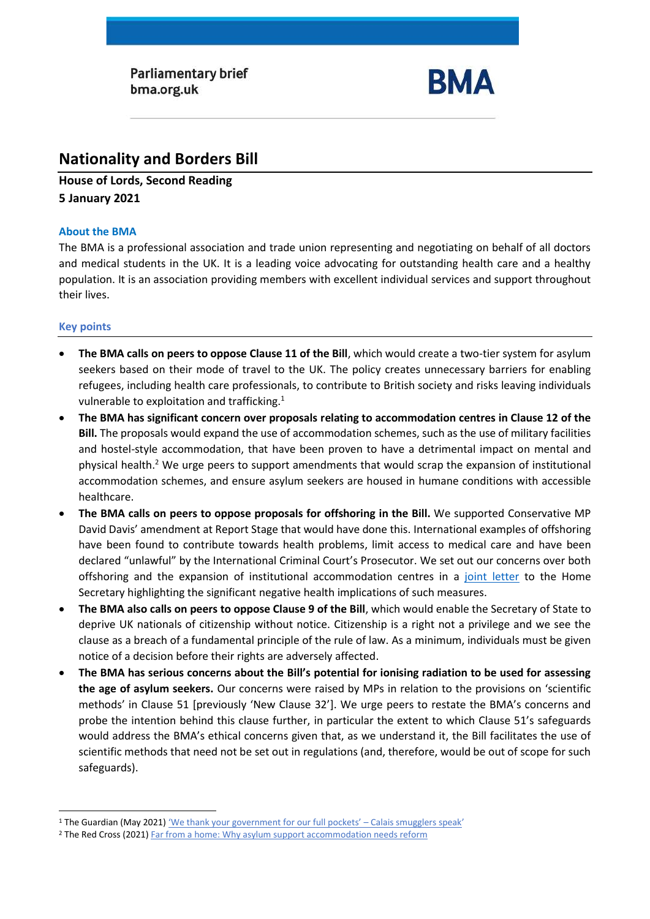**Parliamentary brief** bma.org.uk



# **Nationality and Borders Bill**

**House of Lords, Second Reading 5 January 2021** 

## **About the BMA**

The BMA is a professional association and trade union representing and negotiating on behalf of all doctors and medical students in the UK. It is a leading voice advocating for outstanding health care and a healthy population. It is an association providing members with excellent individual services and support throughout their lives.

# **Key points**

- **The BMA calls on peers to oppose Clause 11 of the Bill**, which would create a two-tier system for asylum seekers based on their mode of travel to the UK. The policy creates unnecessary barriers for enabling refugees, including health care professionals, to contribute to British society and risks leaving individuals vulnerable to exploitation and trafficking.<sup>1</sup>
- **The BMA has significant concern over proposals relating to accommodation centres in Clause 12 of the Bill.** The proposals would expand the use of accommodation schemes, such as the use of military facilities and hostel-style accommodation, that have been proven to have a detrimental impact on mental and physical health. <sup>2</sup> We urge peers to support amendments that would scrap the expansion of institutional accommodation schemes, and ensure asylum seekers are housed in humane conditions with accessible healthcare.
- **The BMA calls on peers to oppose proposals for offshoring in the Bill.** We supported Conservative MP David Davis' amendment at Report Stage that would have done this. International examples of offshoring have been found to contribute towards health problems, limit access to medical care and have been declared "unlawful" by the International Criminal Court's Prosecutor. We set out our concerns over both offshoring and the expansion of institutional accommodation centres in a [joint letter](https://msf.org.uk/article/joint-letter-concerns-about-health-implications-nationality-and-borders-bill) to the Home Secretary highlighting the significant negative health implications of such measures.
- **The BMA also calls on peers to oppose Clause 9 of the Bill**, which would enable the Secretary of State to deprive UK nationals of citizenship without notice. Citizenship is a right not a privilege and we see the clause as a breach of a fundamental principle of the rule of law. As a minimum, individuals must be given notice of a decision before their rights are adversely affected.
- **The BMA has serious concerns about the Bill's potential for ionising radiation to be used for assessing the age of asylum seekers.** Our concerns were raised by MPs in relation to the provisions on 'scientific methods' in Clause 51 [previously 'New Clause 32']. We urge peers to restate the BMA's concerns and probe the intention behind this clause further, in particular the extent to which Clause 51's safeguards would address the BMA's ethical concerns given that, as we understand it, the Bill facilitates the use of scientific methods that need not be set out in regulations (and, therefore, would be out of scope for such safeguards).

<sup>1</sup> The Guardian (May 2021) ['We thank your government for our full pockets' –](https://www.theguardian.com/global-development/2021/may/10/calais-smuggler-gangs-channel-migrants-uk-security?CMP=Share_AndroidApp_Other) Calais smugglers speak'

<sup>&</sup>lt;sup>2</sup> The Red Cross (2021[\) Far from a home:](https://www.redcross.org.uk/far-from-a-home) Why asylum support accommodation needs reform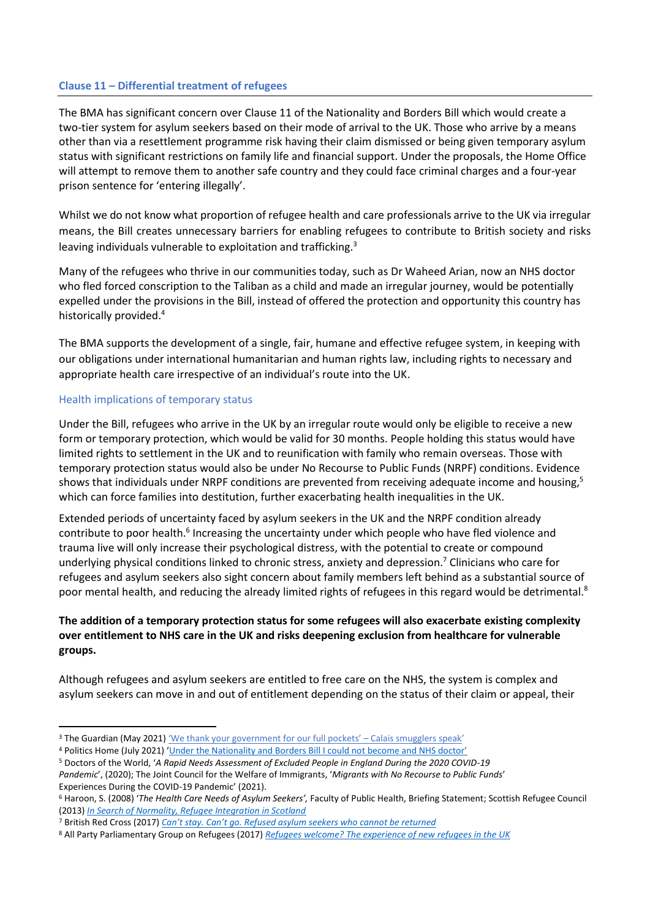#### **Clause 11 – Differential treatment of refugees**

The BMA has significant concern over Clause 11 of the Nationality and Borders Bill which would create a two-tier system for asylum seekers based on their mode of arrival to the UK. Those who arrive by a means other than via a resettlement programme risk having their claim dismissed or being given temporary asylum status with significant restrictions on family life and financial support. Under the proposals, the Home Office will attempt to remove them to another safe country and they could face criminal charges and a four-year prison sentence for 'entering illegally'.

Whilst we do not know what proportion of refugee health and care professionals arrive to the UK via irregular means, the Bill creates unnecessary barriers for enabling refugees to contribute to British society and risks leaving individuals vulnerable to exploitation and trafficking.<sup>3</sup>

Many of the refugees who thrive in our communities today, such as Dr Waheed Arian, now an NHS doctor who fled forced conscription to the Taliban as a child and made an irregular journey, would be potentially expelled under the provisions in the Bill, instead of offered the protection and opportunity this country has historically provided.<sup>4</sup>

The BMA supports the development of a single, fair, humane and effective refugee system, in keeping with our obligations under international humanitarian and human rights law, including rights to necessary and appropriate health care irrespective of an individual's route into the UK.

#### Health implications of temporary status

Under the Bill, refugees who arrive in the UK by an irregular route would only be eligible to receive a new form or temporary protection, which would be valid for 30 months. People holding this status would have limited rights to settlement in the UK and to reunification with family who remain overseas. Those with temporary protection status would also be under No Recourse to Public Funds (NRPF) conditions. Evidence shows that individuals under NRPF conditions are prevented from receiving adequate income and housing,<sup>5</sup> which can force families into destitution, further exacerbating health inequalities in the UK.

Extended periods of uncertainty faced by asylum seekers in the UK and the NRPF condition already contribute to poor health.<sup>6</sup> Increasing the uncertainty under which people who have fled violence and trauma live will only increase their psychological distress, with the potential to create or compound underlying physical conditions linked to chronic stress, anxiety and depression.<sup>7</sup> Clinicians who care for refugees and asylum seekers also sight concern about family members left behind as a substantial source of poor mental health, and reducing the already limited rights of refugees in this regard would be detrimental.<sup>8</sup>

# **The addition of a temporary protection status for some refugees will also exacerbate existing complexity over entitlement to NHS care in the UK and risks deepening exclusion from healthcare for vulnerable groups.**

Although refugees and asylum seekers are entitled to free care on the NHS, the system is complex and asylum seekers can move in and out of entitlement depending on the status of their claim or appeal, their

<sup>&</sup>lt;sup>3</sup> The Guardian (May 2021) ['We thank your government for our full pockets' –](https://www.theguardian.com/global-development/2021/may/10/calais-smuggler-gangs-channel-migrants-uk-security?CMP=Share_AndroidApp_Other) Calais smugglers speak'

<sup>4</sup> Politics Home (July 2021) ['Under the Nationality and Borders Bill I could not become and NHS doctor'](https://www.politicshome.com/thehouse/article/under-the-nationality-and-borders-bill-i-could-not-become-an-nhs-doctor)

<sup>5</sup> Doctors of the World, '*A Rapid Needs Assessment of Excluded People in England During the 2020 COVID-19 Pandemic*', (2020); The Joint Council for the Welfare of Immigrants, '*Migrants with No Recourse to Public Funds*' Experiences During the COVID-19 Pandemic' (2021).

<sup>6</sup> Haroon, S. (2008) '*The Health Care Needs of Asylum Seekers',* Faculty of Public Health, Briefing Statement; Scottish Refugee Council (2013) *[In Search of Normality, Refugee Integration in Scotland](https://www.scottishrefugeecouncil.org.uk/wp-content/uploads/2019/10/In-search-of-normality-Refugee-Integration-in-Scotland-PDF.pdf)*

<sup>7</sup> British Red Cross (2017) *Can't stay. Can't go. Refus[ed asylum seekers who cannot be returned](https://www.redcross.org.uk/-/media/documents/about-us/research-publications/refugee-support/cant-stay-cant-go-webready.pdf)*

<sup>8</sup> All Party Parliamentary Group on Refugees (2017) *[Refugees welcome? The experience of new refugees in the UK](https://refugeecouncil.org.uk/wp-content/uploads/2019/03/APPG_on_Refugees_-_Refugees_Welcome_report.pdf)*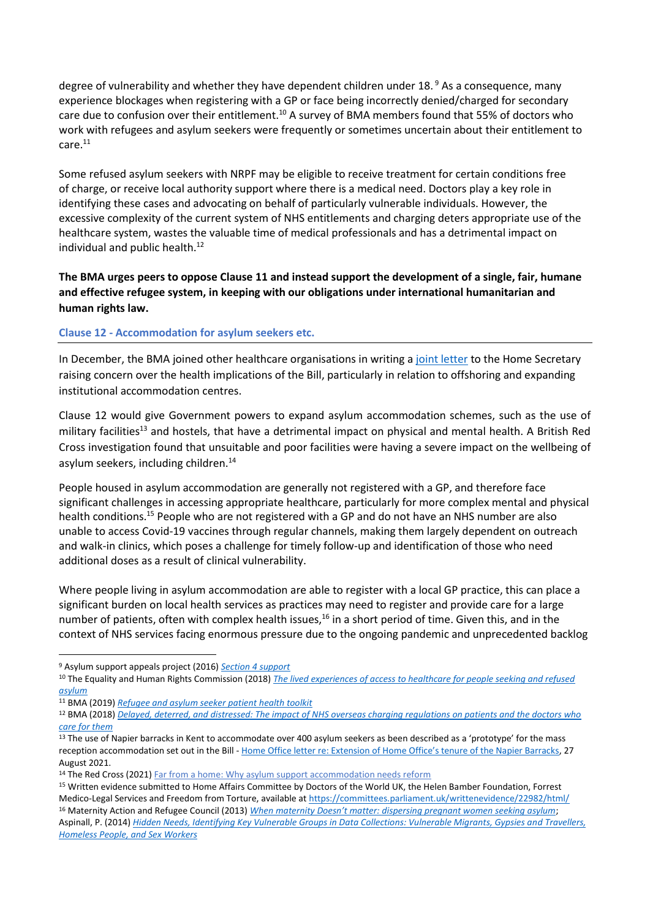degree of vulnerability and whether they have dependent children under 18. <sup>9</sup> As a consequence, many experience blockages when registering with a GP or face being incorrectly denied/charged for secondary care due to confusion over their entitlement.<sup>10</sup> A survey of BMA members found that 55% of doctors who work with refugees and asylum seekers were frequently or sometimes uncertain about their entitlement to care.<sup>11</sup>

Some refused asylum seekers with NRPF may be eligible to receive treatment for certain conditions free of charge, or receive local authority support where there is a medical need. Doctors play a key role in identifying these cases and advocating on behalf of particularly vulnerable individuals. However, the excessive complexity of the current system of NHS entitlements and charging deters appropriate use of the healthcare system, wastes the valuable time of medical professionals and has a detrimental impact on individual and public health. $^{12}$ 

**The BMA urges peers to oppose Clause 11 and instead support the development of a single, fair, humane and effective refugee system, in keeping with our obligations under international humanitarian and human rights law.**

#### **Clause 12 - Accommodation for asylum seekers etc.**

In December, the BMA joined other healthcare organisations in writing a [joint letter](https://msf.org.uk/article/joint-letter-concerns-about-health-implications-nationality-and-borders-bill) to the Home Secretary raising concern over the health implications of the Bill, particularly in relation to offshoring and expanding institutional accommodation centres.

Clause 12 would give Government powers to expand asylum accommodation schemes, such as the use of military facilities<sup>13</sup> and hostels, that have a detrimental impact on physical and mental health. A British Red Cross investigation found that unsuitable and poor facilities were having a severe impact on the wellbeing of asylum seekers, including children.<sup>14</sup>

People housed in asylum accommodation are generally not registered with a GP, and therefore face significant challenges in accessing appropriate healthcare, particularly for more complex mental and physical health conditions.<sup>15</sup> People who are not registered with a GP and do not have an NHS number are also unable to access Covid-19 vaccines through regular channels, making them largely dependent on outreach and walk-in clinics, which poses a challenge for timely follow-up and identification of those who need additional doses as a result of clinical vulnerability.

Where people living in asylum accommodation are able to register with a local GP practice, this can place a significant burden on local health services as practices may need to register and provide care for a large number of patients, often with complex health issues,<sup>16</sup> in a short period of time. Given this, and in the context of NHS services facing enormous pressure due to the ongoing pandemic and unprecedented backlog

<sup>9</sup> Asylum support appeals project (2016) *[Section 4 support](https://www.asaproject.org/uploads/Factsheet-2-section-4-support.pdf)*

<sup>10</sup> The Equality and Human Rights Commission (2018) *[The lived experiences of access to healthcare for people seeking and refused](https://www.equalityhumanrights.com/sites/default/files/research-report-122-people-seeking-asylum-access-to-healthcare-lived-experiences.pdf)  [asylum](https://www.equalityhumanrights.com/sites/default/files/research-report-122-people-seeking-asylum-access-to-healthcare-lived-experiences.pdf)*

<sup>11</sup> BMA (2019) *[Refugee and asylum seeker patient health toolkit](https://www.bma.org.uk/advice-and-support/ethics/refugees-overseas-visitors-and-vulnerable-migrants/refugee-and-asylum-seeker-patient-health-toolkit/overcoming-barriers-to-refugees-and-asylum-seekers-accessing-care)*

<sup>12</sup> BMA (2018) *[Delayed, deterred, and distressed: The impact of NHS overseas charging regulations on patients and the doctors who](https://www.bma.org.uk/media/1834/bma-overseas-charging-paper-2018.pdf)  [care for them](https://www.bma.org.uk/media/1834/bma-overseas-charging-paper-2018.pdf)*

<sup>&</sup>lt;sup>13</sup> The use of Napier barracks in Kent to accommodate over 400 asylum seekers as been described as a 'prototype' for the mass reception accommodation set out in the Bill - [Home Office letter re: Extension of Home Office's tenure of the Napier Barracks](https://appgdetention.org.uk/wp-content/uploads/2021/09/2021-08-27-FBIM-to-Alison-Thewliss-MP.pdf?x66900), 27 August 2021.

<sup>&</sup>lt;sup>14</sup> The Red Cross (2021[\) Far from a home:](https://www.redcross.org.uk/far-from-a-home) Why asylum support accommodation needs reform

<sup>15</sup> Written evidence submitted to Home Affairs Committee by Doctors of the World UK, the Helen Bamber Foundation, Forrest Medico-Legal Services and Freedom from Torture, available at<https://committees.parliament.uk/writtenevidence/22982/html/> <sup>16</sup> Maternity Action and Refugee Council (2013) *[When maternity Doesn't matter: dispersing pregnant women seeking asylum](https://www.maternityaction.org.uk/wp-content/uploads/2013/09/When_Maternity_Doesn_t_Matter_-_Ref_Council__Maternity_Action_report_Feb2013.pdf)*;

Aspinall, P. (2014) *[Hidden Needs, Identifying Key Vulnerable Groups in Data Collections: Vulnerable Migrants, Gypsies and Travellers,](https://assets.publishing.service.gov.uk/government/uploads/system/uploads/attachment_data/file/287805/vulnerable_groups_data_collections.pdf)  [Homeless People, and Sex Workers](https://assets.publishing.service.gov.uk/government/uploads/system/uploads/attachment_data/file/287805/vulnerable_groups_data_collections.pdf)*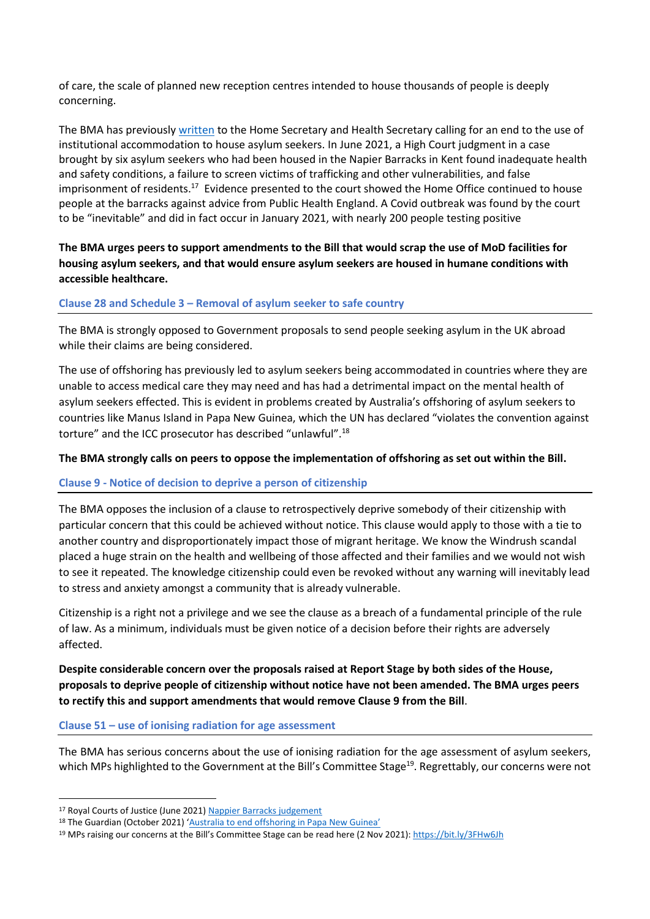of care, the scale of planned new reception centres intended to house thousands of people is deeply concerning.

The BMA has previousl[y written](https://www.doctorsoftheworld.org.uk/wp-content/uploads/2020/11/Letter-on-the-use-of-MoD-sites-as-accommodation_26.11.2020.pdf) to the Home Secretary and Health Secretary calling for an end to the use of institutional accommodation to house asylum seekers. In June 2021, a High Court [judgment in a case](https://www.judiciary.uk/wp-content/uploads/2021/06/Napier-Barracks-judgment.pdf)  [brought by six asylum seekers](https://www.judiciary.uk/wp-content/uploads/2021/06/Napier-Barracks-judgment.pdf) who had been housed in the Napier Barracks in Kent found inadequate health and safety conditions, a failure to screen victims of trafficking and other vulnerabilities, and false imprisonment of residents.<sup>17</sup> Evidence presented to the court showed the Home Office continued to house people at the barracks against advice from Public Health England. A Covid outbreak was found by the court to be "inevitable" and did in fact occur in January 2021, with nearly 200 people testing positive

**The BMA urges peers to support amendments to the Bill that would scrap the use of MoD facilities for housing asylum seekers, and that would ensure asylum seekers are housed in humane conditions with accessible healthcare.**

#### **Clause 28 and Schedule 3 – Removal of asylum seeker to safe country**

The BMA is strongly opposed to Government proposals to send people seeking asylum in the UK abroad while their claims are being considered.

The use of offshoring has previously led to asylum seekers being accommodated in countries where they are unable to access medical care they may need and has had a detrimental impact on the mental health of asylum seekers effected. This is evident in problems created by Australia's offshoring of asylum seekers to countries like Manus Island in Papa New Guinea, which the UN has declared "violates the convention against torture" and the ICC prosecutor has described "unlawful".<sup>18</sup>

#### **The BMA strongly calls on peers to oppose the implementation of offshoring as set out within the Bill.**

#### **Clause 9 - Notice of decision to deprive a person of citizenship**

The BMA opposes the inclusion of a clause to retrospectively deprive somebody of their citizenship with particular concern that this could be achieved without notice. This clause would apply to those with a tie to another country and disproportionately impact those of migrant heritage. We know the Windrush scandal placed a huge strain on the health and wellbeing of those affected and their families and we would not wish to see it repeated. The knowledge citizenship could even be revoked without any warning will inevitably lead to stress and anxiety amongst a community that is already vulnerable.

Citizenship is a right not a privilege and we see the clause as a breach of a fundamental principle of the rule of law. As a minimum, individuals must be given notice of a decision before their rights are adversely affected.

**Despite considerable concern over the proposals raised at Report Stage by both sides of the House, proposals to deprive people of citizenship without notice have not been amended. The BMA urges peers to rectify this and support amendments that would remove Clause 9 from the Bill**.

#### **Clause 51 – use of ionising radiation for age assessment**

The BMA has serious concerns about the use of ionising radiation for the age assessment of asylum seekers, which MPs highlighted to the Government at the Bill's Committee Stage<sup>19</sup>. Regrettably, our concerns were not

<sup>17</sup> Royal Courts of Justice (June 2021) Nappier Barracks judgement

<sup>18</sup> The Guardian (October 2021) ['Australia to end offshoring in Papa New Guinea'](https://www.theguardian.com/australia-news/2021/oct/06/australia-to-end-offshore-processing-in-papua-new-guinea)

<sup>&</sup>lt;sup>19</sup> MPs raising our concerns at the Bill's Committee Stage can be read here (2 Nov 2021)[: https://bit.ly/3FHw6Jh](https://bit.ly/3FHw6Jh)